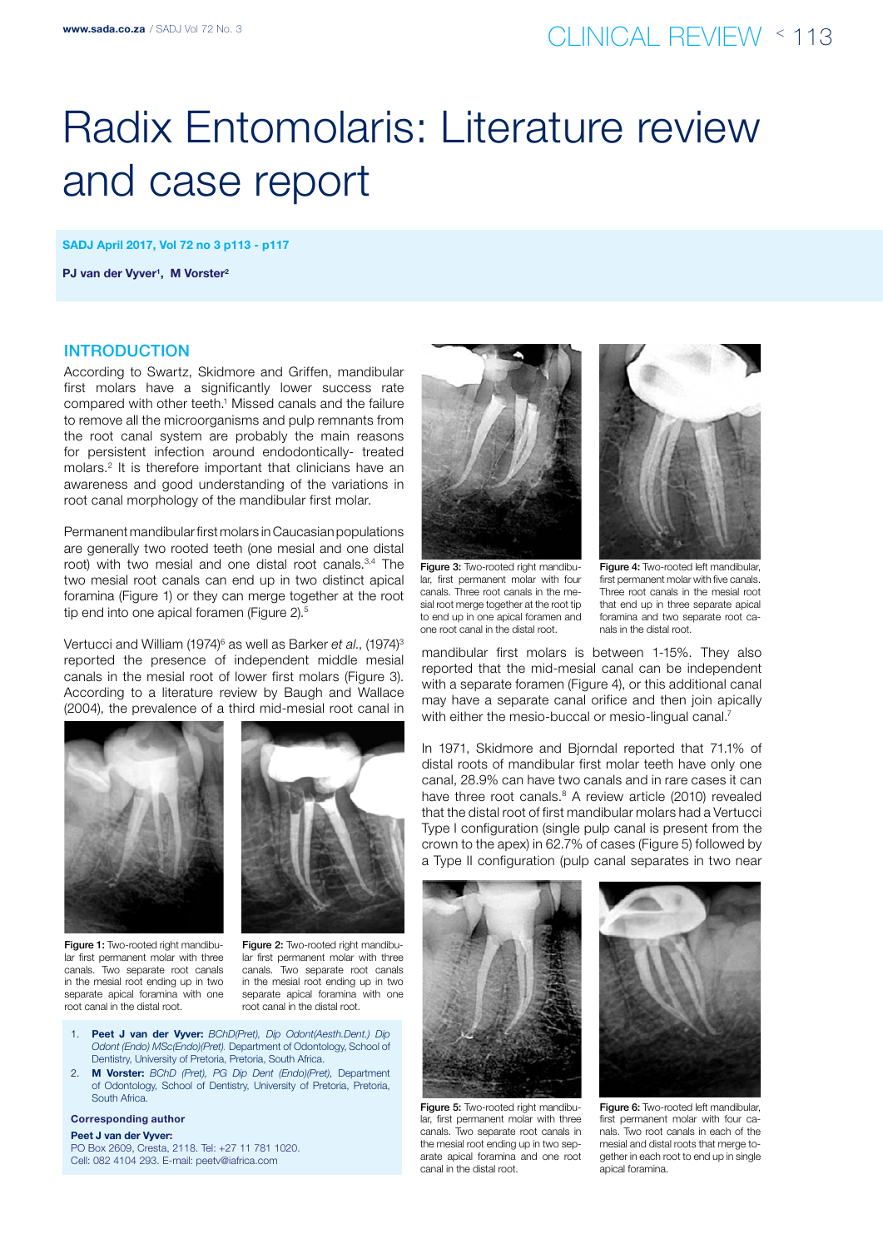# Radix Entomolaris: Literature review and case report

SADJ April 2017, Vol 72 no 3 p113 - p117

PJ van der Vyver<sup>1</sup>, M Vorster<sup>2</sup>

### **INTRODUCTION**

According to Swartz, Skidmore and Griffen, mandibular first molars have a significantly lower success rate compared with other teeth.<sup>1</sup> Missed canals and the failure to remove all the microorganisms and pulp remnants from the root canal system are probably the main reasons for persistent infection around endodontically- treated molars.2 It is therefore important that clinicians have an awareness and good understanding of the variations in root canal morphology of the mandibular first molar.

Permanent mandibular first molars in Caucasian populations are generally two rooted teeth (one mesial and one distal root) with two mesial and one distal root canals.3,4 The two mesial root canals can end up in two distinct apical foramina (Figure 1) or they can merge together at the root tip end into one apical foramen (Figure 2).<sup>5</sup>

Vertucci and William (1974)<sup>6</sup> as well as Barker *et al*., (1974)<sup>3</sup> reported the presence of independent middle mesial canals in the mesial root of lower first molars (Figure 3). According to a literature review by Baugh and Wallace (2004), the prevalence of a third mid-mesial root canal in





Figure 1: Two-rooted right mandibular first permanent molar with three canals. Two separate root canals in the mesial root ending up in two separate apical foramina with one root canal in the distal root.

Figure 2: Two-rooted right mandibular first permanent molar with three canals. Two separate root canals in the mesial root ending up in two separate apical foramina with one root canal in the distal root.

- 1. Peet J van der Vyver: *BChD(Pret), Dip Odont(Aesth.Dent.) Dip Odont (Endo) MSc(Endo)(Pret).* Department of Odontology, School of Dentistry, University of Pretoria, Pretoria, South Africa.
- 2. M Vorster: *BChD (Pret), PG Dip Dent (Endo)(Pret),* Department of Odontology, School of Dentistry, University of Pretoria, Pretoria, South Africa.

#### Corresponding author

Peet J van der Vyver: PO Box 2609, Cresta, 2118. Tel: +27 11 781 1020. Cell: 082 4104 293. E-mail: peetv@iafrica.com



Figure 3: Two-rooted right mandibular, first permanent molar with four canals. Three root canals in the mesial root merge together at the root tip to end up in one apical foramen and one root canal in the distal root.



Figure 4: Two-rooted left mandibular, first permanent molar with five canals. Three root canals in the mesial root that end up in three separate apical foramina and two separate root canals in the distal root.

mandibular first molars is between 1-15%. They also reported that the mid-mesial canal can be independent with a separate foramen (Figure 4), or this additional canal may have a separate canal orifice and then join apically with either the mesio-buccal or mesio-lingual canal.<sup>7</sup>

In 1971, Skidmore and Bjorndal reported that 71.1% of distal roots of mandibular first molar teeth have only one canal, 28.9% can have two canals and in rare cases it can have three root canals.<sup>8</sup> A review article (2010) revealed that the distal root of first mandibular molars had a Vertucci Type I configuration (single pulp canal is present from the crown to the apex) in 62.7% of cases (Figure 5) followed by a Type II configuration (pulp canal separates in two near



Figure 5: Two-rooted right mandibular, first permanent molar with three canals. Two separate root canals in the mesial root ending up in two separate apical foramina and one root canal in the distal root.



**Figure 6: Two-rooted left mandibular,** first permanent molar with four canals. Two root canals in each of the mesial and distal roots that merge together in each root to end up in single apical foramina.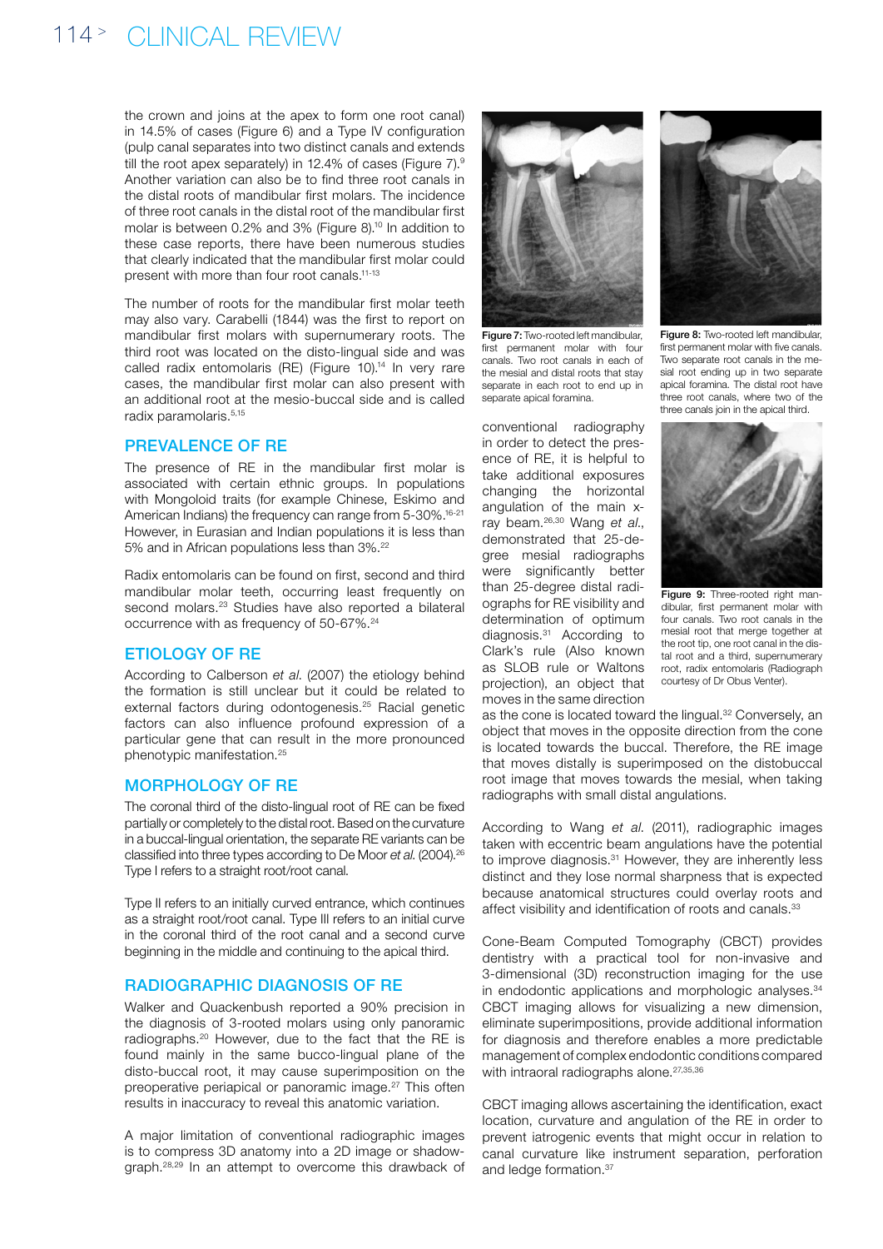# 114<sup>></sup> CLINICAL REVIEW

the crown and joins at the apex to form one root canal) in 14.5% of cases (Figure 6) and a Type IV configuration (pulp canal separates into two distinct canals and extends till the root apex separately) in 12.4% of cases (Figure  $7$ ).<sup>9</sup> Another variation can also be to find three root canals in the distal roots of mandibular first molars. The incidence of three root canals in the distal root of the mandibular first molar is between 0.2% and 3% (Figure 8).10 In addition to these case reports, there have been numerous studies that clearly indicated that the mandibular first molar could present with more than four root canals.11-13

The number of roots for the mandibular first molar teeth may also vary. Carabelli (1844) was the first to report on mandibular first molars with supernumerary roots. The third root was located on the disto-lingual side and was called radix entomolaris (RE) (Figure 10).<sup>14</sup> In very rare cases, the mandibular first molar can also present with an additional root at the mesio-buccal side and is called radix paramolaris.5,15

### Prevalence of RE

The presence of RE in the mandibular first molar is associated with certain ethnic groups. In populations with Mongoloid traits (for example Chinese, Eskimo and American Indians) the frequency can range from 5-30%.<sup>16-21</sup> However, in Eurasian and Indian populations it is less than 5% and in African populations less than 3%.22

Radix entomolaris can be found on first, second and third mandibular molar teeth, occurring least frequently on second molars.<sup>23</sup> Studies have also reported a bilateral occurrence with as frequency of 50-67%.24

### Etiology of RE

According to Calberson *et al*. (2007) the etiology behind the formation is still unclear but it could be related to external factors during odontogenesis.<sup>25</sup> Racial genetic factors can also influence profound expression of a particular gene that can result in the more pronounced phenotypic manifestation.25

#### MORPHOLOGY OF RE

The coronal third of the disto-lingual root of RE can be fixed partially or completely to the distal root. Based on the curvature in a buccal-lingual orientation, the separate RE variants can be classified into three types according to De Moor *et al*. (2004).26 Type I refers to a straight root/root canal.

Type II refers to an initially curved entrance, which continues as a straight root/root canal. Type III refers to an initial curve in the coronal third of the root canal and a second curve beginning in the middle and continuing to the apical third.

### Radiographic Diagnosis of RE

Walker and Quackenbush reported a 90% precision in the diagnosis of 3-rooted molars using only panoramic radiographs.20 However, due to the fact that the RE is found mainly in the same bucco-lingual plane of the disto-buccal root, it may cause superimposition on the preoperative periapical or panoramic image.<sup>27</sup> This often results in inaccuracy to reveal this anatomic variation.

A major limitation of conventional radiographic images is to compress 3D anatomy into a 2D image or shadowgraph.28,29 In an attempt to overcome this drawback of



first permanent molar with four canals. Two root canals in each of the mesial and distal roots that stay separate in each root to end up in separate apical foramina.

conventional radiography in order to detect the presence of RE, it is helpful to take additional exposures changing the horizontal angulation of the main xray beam.26,30 Wang *et al*., demonstrated that 25-degree mesial radiographs were significantly better than 25-degree distal radiographs for RE visibility and determination of optimum diagnosis.31 According to Clark's rule (Also known as SLOB rule or Waltons projection), an object that moves in the same direction



Figure 8: Two-rooted left mandibular first permanent molar with five canals. Two separate root canals in the mesial root ending up in two separate apical foramina. The distal root have three root canals, where two of the three canals join in the apical third.



Figure 9: Three-rooted right mandibular, first permanent molar with four canals. Two root canals in the mesial root that merge together at the root tip, one root canal in the distal root and a third, supernumerary root, radix entomolaris (Radiograph courtesy of Dr Obus Venter).

as the cone is located toward the lingual.<sup>32</sup> Conversely, an object that moves in the opposite direction from the cone is located towards the buccal. Therefore, the RE image that moves distally is superimposed on the distobuccal root image that moves towards the mesial, when taking radiographs with small distal angulations.

According to Wang *et al*. (2011), radiographic images taken with eccentric beam angulations have the potential to improve diagnosis.<sup>31</sup> However, they are inherently less distinct and they lose normal sharpness that is expected because anatomical structures could overlay roots and affect visibility and identification of roots and canals.<sup>33</sup>

Cone-Beam Computed Tomography (CBCT) provides dentistry with a practical tool for non-invasive and 3-dimensional (3D) reconstruction imaging for the use in endodontic applications and morphologic analyses.<sup>34</sup> CBCT imaging allows for visualizing a new dimension, eliminate superimpositions, provide additional information for diagnosis and therefore enables a more predictable management of complex endodontic conditions compared with intraoral radiographs alone.<sup>27,35,36</sup>

CBCT imaging allows ascertaining the identification, exact location, curvature and angulation of the RE in order to prevent iatrogenic events that might occur in relation to canal curvature like instrument separation, perforation and ledge formation.37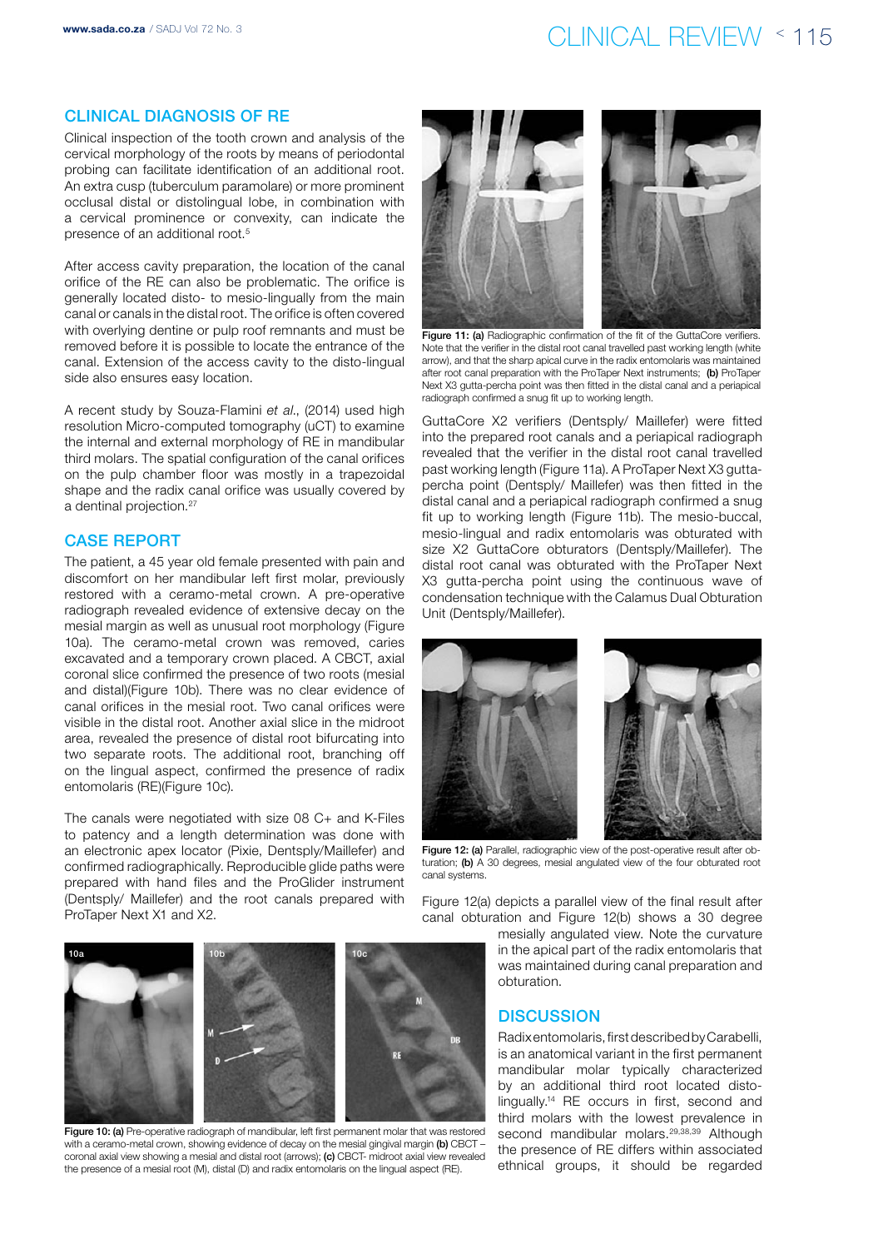# www.sada.co.za / SADJ Vol 72 No. 3  $\text{CLINICAL REVIEW} \leq 115$

### Clinical Diagnosis of RE

Clinical inspection of the tooth crown and analysis of the cervical morphology of the roots by means of periodontal probing can facilitate identification of an additional root. An extra cusp (tuberculum paramolare) or more prominent occlusal distal or distolingual lobe, in combination with a cervical prominence or convexity, can indicate the presence of an additional root.5

After access cavity preparation, the location of the canal orifice of the RE can also be problematic. The orifice is generally located disto- to mesio-lingually from the main canal or canals in the distal root. The orifice is often covered with overlying dentine or pulp roof remnants and must be removed before it is possible to locate the entrance of the canal. Extension of the access cavity to the disto-lingual side also ensures easy location.

A recent study by Souza-Flamini *et al*., (2014) used high resolution Micro-computed tomography (uCT) to examine the internal and external morphology of RE in mandibular third molars. The spatial configuration of the canal orifices on the pulp chamber floor was mostly in a trapezoidal shape and the radix canal orifice was usually covered by a dentinal projection.<sup>27</sup>

### Case Report

The patient, a 45 year old female presented with pain and discomfort on her mandibular left first molar, previously restored with a ceramo-metal crown. A pre-operative radiograph revealed evidence of extensive decay on the mesial margin as well as unusual root morphology (Figure 10a). The ceramo-metal crown was removed, caries excavated and a temporary crown placed. A CBCT, axial coronal slice confirmed the presence of two roots (mesial and distal)(Figure 10b). There was no clear evidence of canal orifices in the mesial root. Two canal orifices were visible in the distal root. Another axial slice in the midroot area, revealed the presence of distal root bifurcating into two separate roots. The additional root, branching off on the lingual aspect, confirmed the presence of radix entomolaris (RE)(Figure 10c).

The canals were negotiated with size 08 C+ and K-Files to patency and a length determination was done with an electronic apex locator (Pixie, Dentsply/Maillefer) and confirmed radiographically. Reproducible glide paths were prepared with hand files and the ProGlider instrument (Dentsply/ Maillefer) and the root canals prepared with ProTaper Next X1 and X2.



Figure 11: (a) Radiographic confirmation of the fit of the GuttaCore verifiers. Note that the verifier in the distal root canal travelled past working length (white arrow), and that the sharp apical curve in the radix entomolaris was maintained after root canal preparation with the ProTaper Next instruments; (b) ProTaper Next X3 gutta-percha point was then fitted in the distal canal and a periapical radiograph confirmed a snug fit up to working length.

GuttaCore X2 verifiers (Dentsply/ Maillefer) were fitted into the prepared root canals and a periapical radiograph revealed that the verifier in the distal root canal travelled past working length (Figure 11a). A ProTaper Next X3 guttapercha point (Dentsply/ Maillefer) was then fitted in the distal canal and a periapical radiograph confirmed a snug fit up to working length (Figure 11b). The mesio-buccal, mesio-lingual and radix entomolaris was obturated with size X2 GuttaCore obturators (Dentsply/Maillefer). The distal root canal was obturated with the ProTaper Next X3 gutta-percha point using the continuous wave of condensation technique with the Calamus Dual Obturation Unit (Dentsply/Maillefer).



Figure 12: (a) Parallel, radiographic view of the post-operative result after obturation: (b) A 30 degrees, mesial angulated view of the four obturated root canal systems.

Figure 12(a) depicts a parallel view of the final result after canal obturation and Figure 12(b) shows a 30 degree

> mesially angulated view. Note the curvature in the apical part of the radix entomolaris that was maintained during canal preparation and obturation.

### **DISCUSSION**

Radix entomolaris, first described by Carabelli, is an anatomical variant in the first permanent mandibular molar typically characterized by an additional third root located distolingually.14 RE occurs in first, second and third molars with the lowest prevalence in second mandibular molars.<sup>29,38,39</sup> Although the presence of RE differs within associated ethnical groups, it should be regarded



Figure 10: (a) Pre-operative radiograph of mandibular, left first permanent molar that was restored with a ceramo-metal crown, showing evidence of decay on the mesial gingival margin (b) CBCT coronal axial view showing a mesial and distal root (arrows); (c) CBCT- midroot axial view revealed the presence of a mesial root (M), distal (D) and radix entomolaris on the lingual aspect (RE).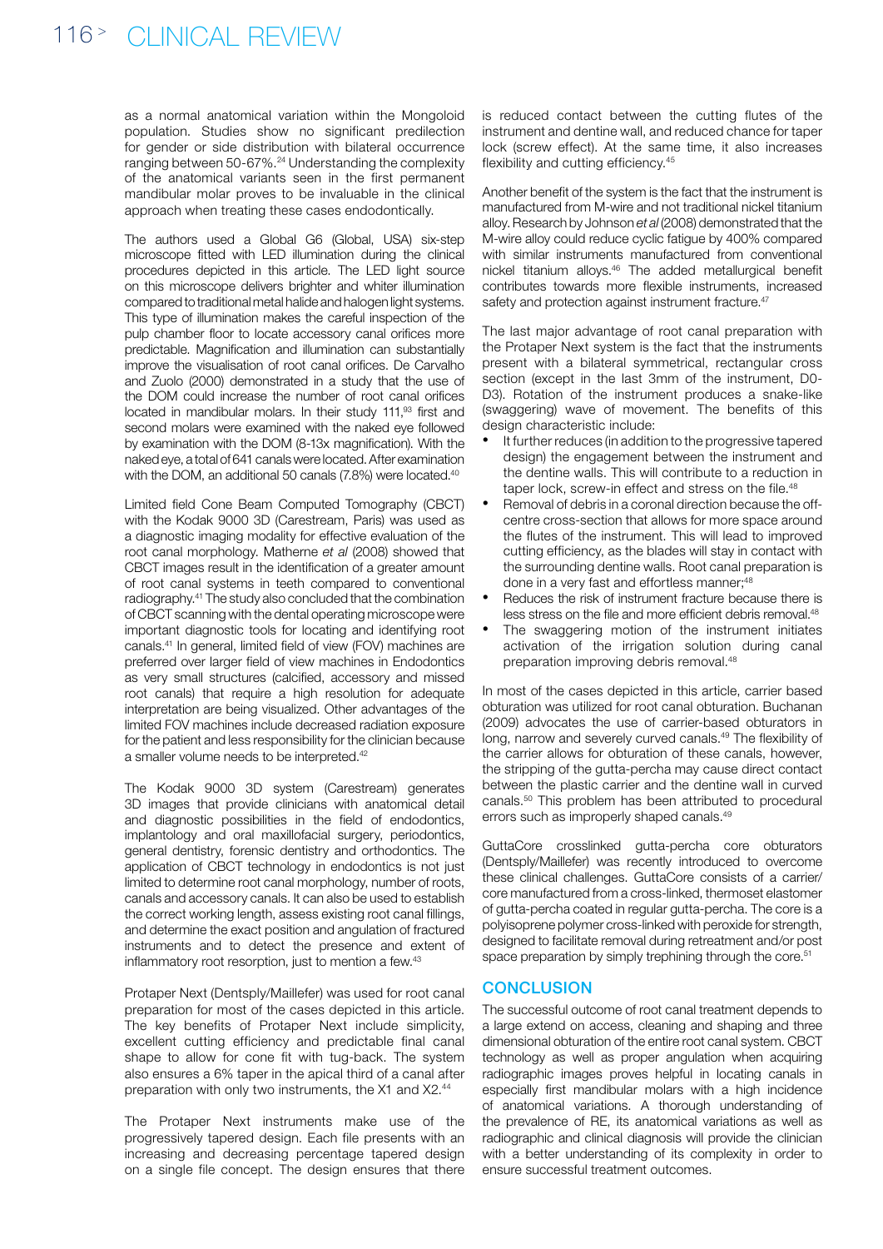as a normal anatomical variation within the Mongoloid population. Studies show no significant predilection for gender or side distribution with bilateral occurrence ranging between 50-67%.24 Understanding the complexity of the anatomical variants seen in the first permanent mandibular molar proves to be invaluable in the clinical approach when treating these cases endodontically.

The authors used a Global G6 (Global, USA) six-step microscope fitted with LED illumination during the clinical procedures depicted in this article. The LED light source on this microscope delivers brighter and whiter illumination compared to traditional metal halide and halogen light systems. This type of illumination makes the careful inspection of the pulp chamber floor to locate accessory canal orifices more predictable. Magnification and illumination can substantially improve the visualisation of root canal orifices. De Carvalho and Zuolo (2000) demonstrated in a study that the use of the DOM could increase the number of root canal orifices located in mandibular molars. In their study 111,<sup>93</sup> first and second molars were examined with the naked eye followed by examination with the DOM (8-13x magnification). With the naked eye, a total of 641 canals were located. After examination with the DOM, an additional 50 canals (7.8%) were located.<sup>40</sup>

Limited field Cone Beam Computed Tomography (CBCT) with the Kodak 9000 3D (Carestream, Paris) was used as a diagnostic imaging modality for effective evaluation of the root canal morphology. Matherne *et al* (2008) showed that CBCT images result in the identification of a greater amount of root canal systems in teeth compared to conventional radiography.41 The study also concluded that the combination of CBCT scanning with the dental operating microscope were important diagnostic tools for locating and identifying root canals.41 In general, limited field of view (FOV) machines are preferred over larger field of view machines in Endodontics as very small structures (calcified, accessory and missed root canals) that require a high resolution for adequate interpretation are being visualized. Other advantages of the limited FOV machines include decreased radiation exposure for the patient and less responsibility for the clinician because a smaller volume needs to be interpreted.42

The Kodak 9000 3D system (Carestream) generates 3D images that provide clinicians with anatomical detail and diagnostic possibilities in the field of endodontics, implantology and oral maxillofacial surgery, periodontics, general dentistry, forensic dentistry and orthodontics. The application of CBCT technology in endodontics is not just limited to determine root canal morphology, number of roots, canals and accessory canals. It can also be used to establish the correct working length, assess existing root canal fillings, and determine the exact position and angulation of fractured instruments and to detect the presence and extent of inflammatory root resorption, just to mention a few.<sup>43</sup>

Protaper Next (Dentsply/Maillefer) was used for root canal preparation for most of the cases depicted in this article. The key benefits of Protaper Next include simplicity, excellent cutting efficiency and predictable final canal shape to allow for cone fit with tug-back. The system also ensures a 6% taper in the apical third of a canal after preparation with only two instruments, the X1 and X2.44

The Protaper Next instruments make use of the progressively tapered design. Each file presents with an increasing and decreasing percentage tapered design on a single file concept. The design ensures that there is reduced contact between the cutting flutes of the instrument and dentine wall, and reduced chance for taper lock (screw effect). At the same time, it also increases flexibility and cutting efficiency.<sup>45</sup>

Another benefit of the system is the fact that the instrument is manufactured from M-wire and not traditional nickel titanium alloy. Research by Johnson *et al* (2008) demonstrated that the M-wire alloy could reduce cyclic fatigue by 400% compared with similar instruments manufactured from conventional nickel titanium alloys.46 The added metallurgical benefit contributes towards more flexible instruments, increased safety and protection against instrument fracture.<sup>47</sup>

The last major advantage of root canal preparation with the Protaper Next system is the fact that the instruments present with a bilateral symmetrical, rectangular cross section (except in the last 3mm of the instrument, D0- D3). Rotation of the instrument produces a snake-like (swaggering) wave of movement. The benefits of this design characteristic include:

- It further reduces (in addition to the progressive tapered design) the engagement between the instrument and the dentine walls. This will contribute to a reduction in taper lock, screw-in effect and stress on the file.<sup>48</sup>
- Removal of debris in a coronal direction because the offcentre cross-section that allows for more space around the flutes of the instrument. This will lead to improved cutting efficiency, as the blades will stay in contact with the surrounding dentine walls. Root canal preparation is done in a very fast and effortless manner:<sup>48</sup>
- Reduces the risk of instrument fracture because there is less stress on the file and more efficient debris removal.48
- The swaggering motion of the instrument initiates activation of the irrigation solution during canal preparation improving debris removal.48

In most of the cases depicted in this article, carrier based obturation was utilized for root canal obturation. Buchanan (2009) advocates the use of carrier-based obturators in long, narrow and severely curved canals.49 The flexibility of the carrier allows for obturation of these canals, however, the stripping of the gutta-percha may cause direct contact between the plastic carrier and the dentine wall in curved canals.50 This problem has been attributed to procedural errors such as improperly shaped canals.<sup>49</sup>

GuttaCore crosslinked gutta-percha core obturators (Dentsply/Maillefer) was recently introduced to overcome these clinical challenges. GuttaCore consists of a carrier/ core manufactured from a cross-linked, thermoset elastomer of gutta-percha coated in regular gutta-percha. The core is a polyisoprene polymer cross-linked with peroxide for strength, designed to facilitate removal during retreatment and/or post space preparation by simply trephining through the core.<sup>51</sup>

### **CONCLUSION**

The successful outcome of root canal treatment depends to a large extend on access, cleaning and shaping and three dimensional obturation of the entire root canal system. CBCT technology as well as proper angulation when acquiring radiographic images proves helpful in locating canals in especially first mandibular molars with a high incidence of anatomical variations. A thorough understanding of the prevalence of RE, its anatomical variations as well as radiographic and clinical diagnosis will provide the clinician with a better understanding of its complexity in order to ensure successful treatment outcomes.